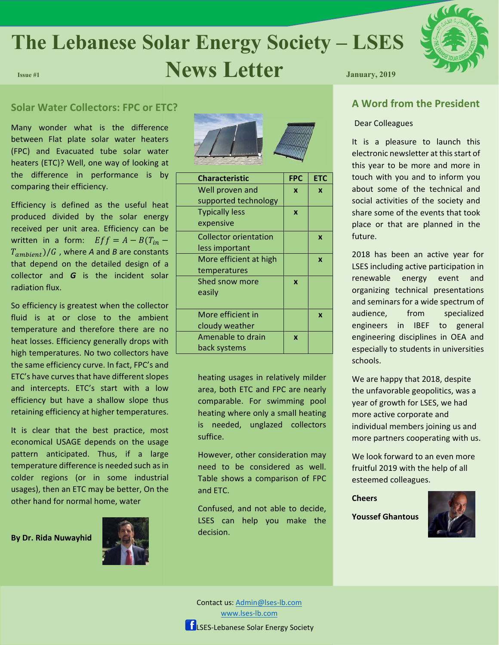# **The Lebanese Solar Energy Society – LSES Issue #1 Issue #1 Issue #1 News Letter** January, 2019



# **Solar Water Collectors: FPC or ETC?**

Many wonder what is the difference between Flat plate solar water heaters (FPC) and Evacuated tube solar water heaters (ETC)? Well, one way of looking at the difference in performance is by comparing their efficiency.

Efficiency is defined as the useful heat produced divided by the solar energy received per unit area. Efficiency can be written in a form:  $Eff = A - B(T_{in} T_{ambient}$ )/ $G$ , where A and B are constants that depend on the detailed design of a collector and *G* is the incident solar radiation flux.

So efficiency is greatest when the collector fluid is at or close to the ambient temperature and therefore there are no heat losses. Efficiency generally drops with high temperatures. No two collectors have the same efficiency curve. In fact, FPC's and ETC's have curves that have different slopes and intercepts. ETC's start with a low efficiency but have a shallow slope thus retaining efficiency at higher temperatures.

It is clear that the best practice, most economical USAGE depends on the usage pattern anticipated. Thus, if a large temperature difference is needed such as in colder regions (or in some industrial usages), then an ETC may be better, On the other hand for normal home, water

**By Dr. Rida Nuwayhid** 





| <b>Characteristic</b>        | <b>FPC</b>   | <b>ETC</b> |
|------------------------------|--------------|------------|
| Well proven and              | X            | X          |
| supported technology         |              |            |
| <b>Typically less</b>        | X            |            |
| expensive                    |              |            |
| <b>Collector orientation</b> |              | X          |
| less important               |              |            |
| More efficient at high       |              | X          |
| temperatures                 |              |            |
| Shed snow more               | $\mathbf{x}$ |            |
| easily                       |              |            |
|                              |              |            |
| More efficient in            |              | X          |
| cloudy weather               |              |            |
| Amenable to drain            | X            |            |
| back systems                 |              |            |

heating usages in relatively milder area, both ETC and FPC are nearly comparable. For swimming pool heating where only a small heating is needed, unglazed collectors suffice.

However, other consideration may need to be considered as well. Table shows a comparison of FPC and ETC.

Confused, and not able to decide, LSES can help you make the decision.

# **A Word from the President**

#### Dear Colleagues

It is a pleasure to launch this electronic newsletter at this start of this year to be more and more in touch with you and to inform you about some of the technical and social activities of the society and share some of the events that took place or that are planned in the future.

2018 has been an active year for LSES including active participation in renewable energy event and organizing technical presentations and seminars for a wide spectrum of audience, from specialized engineers in IBEF to general engineering disciplines in OEA and especially to students in universities schools.

We are happy that 2018, despite the unfavorable geopolitics, was a year of growth for LSES, we had more active corporate and individual members joining us and more partners cooperating with us.

We look forward to an even more fruitful 2019 with the help of all esteemed colleagues.

### **Cheers**

**Youssef Ghantous**